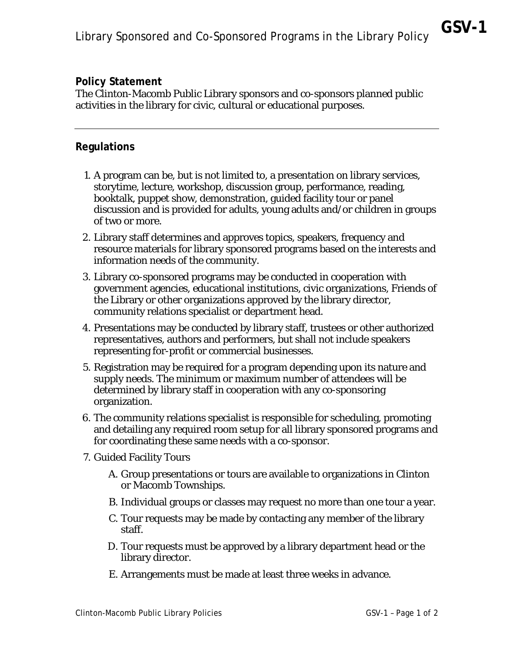## **Policy Statement**

The Clinton-Macomb Public Library sponsors and co-sponsors planned public activities in the library for civic, cultural or educational purposes.

## **Regulations**

- 1. A program can be, but is not limited to, a presentation on library services, storytime, lecture, workshop, discussion group, performance, reading, booktalk, puppet show, demonstration, guided facility tour or panel discussion and is provided for adults, young adults and/or children in groups of two or more.
- 2. Library staff determines and approves topics, speakers, frequency and resource materials for library sponsored programs based on the interests and information needs of the community.
- 3. Library co-sponsored programs may be conducted in cooperation with government agencies, educational institutions, civic organizations, Friends of the Library or other organizations approved by the library director, community relations specialist or department head.
- 4. Presentations may be conducted by library staff, trustees or other authorized representatives, authors and performers, but shall not include speakers representing for-profit or commercial businesses.
- 5. Registration may be required for a program depending upon its nature and supply needs. The minimum or maximum number of attendees will be determined by library staff in cooperation with any co-sponsoring organization.
- 6. The community relations specialist is responsible for scheduling, promoting and detailing any required room setup for all library sponsored programs and for coordinating these same needs with a co-sponsor.
- 7. Guided Facility Tours
	- A. Group presentations or tours are available to organizations in Clinton or Macomb Townships.
	- B. Individual groups or classes may request no more than one tour a year.
	- C. Tour requests may be made by contacting any member of the library staff.
	- D. Tour requests must be approved by a library department head or the library director.
	- E. Arrangements must be made at least three weeks in advance.